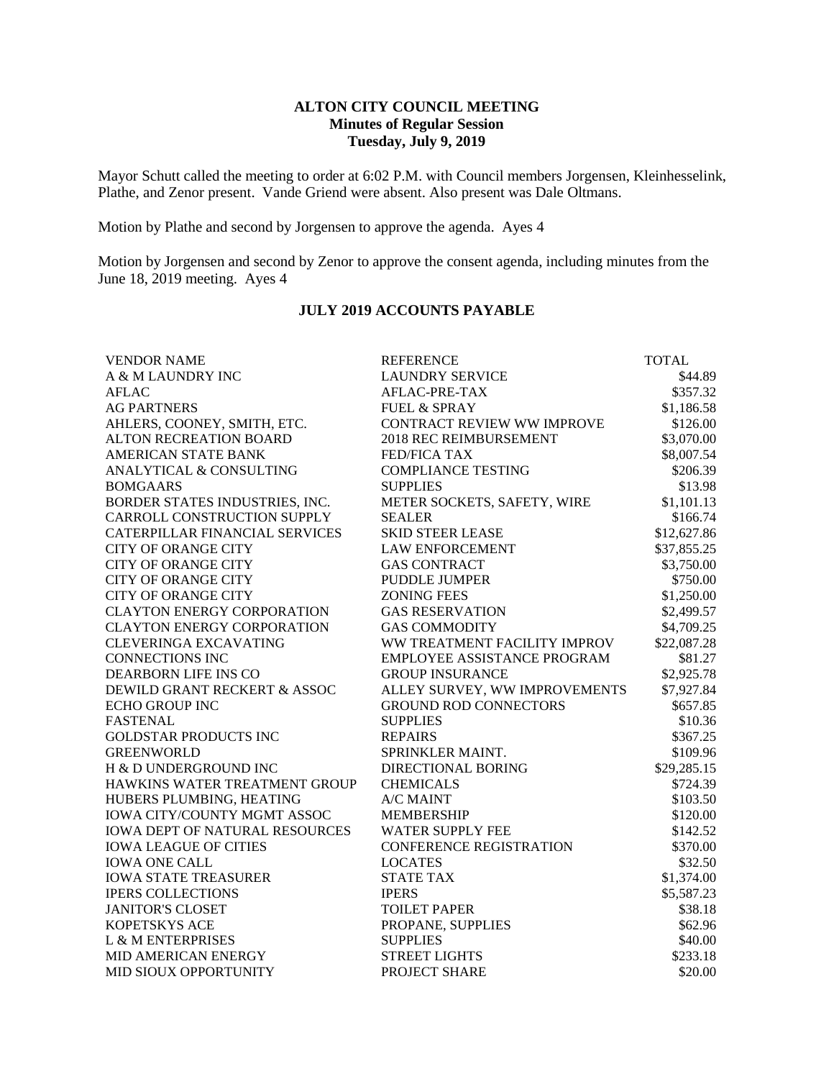## **ALTON CITY COUNCIL MEETING Minutes of Regular Session Tuesday, July 9, 2019**

Mayor Schutt called the meeting to order at 6:02 P.M. with Council members Jorgensen, Kleinhesselink, Plathe, and Zenor present. Vande Griend were absent. Also present was Dale Oltmans.

Motion by Plathe and second by Jorgensen to approve the agenda. Ayes 4

Motion by Jorgensen and second by Zenor to approve the consent agenda, including minutes from the June 18, 2019 meeting. Ayes 4

## **JULY 2019 ACCOUNTS PAYABLE**

| <b>VENDOR NAME</b>                    | <b>REFERENCE</b>              | <b>TOTAL</b> |
|---------------------------------------|-------------------------------|--------------|
| A & M LAUNDRY INC                     | <b>LAUNDRY SERVICE</b>        | \$44.89      |
| <b>AFLAC</b>                          | AFLAC-PRE-TAX                 | \$357.32     |
| <b>AG PARTNERS</b>                    | <b>FUEL &amp; SPRAY</b>       | \$1,186.58   |
| AHLERS, COONEY, SMITH, ETC.           | CONTRACT REVIEW WW IMPROVE    | \$126.00     |
| ALTON RECREATION BOARD                | 2018 REC REIMBURSEMENT        | \$3,070.00   |
| AMERICAN STATE BANK                   | <b>FED/FICA TAX</b>           | \$8,007.54   |
| ANALYTICAL & CONSULTING               | <b>COMPLIANCE TESTING</b>     | \$206.39     |
| <b>BOMGAARS</b>                       | <b>SUPPLIES</b>               | \$13.98      |
| BORDER STATES INDUSTRIES, INC.        | METER SOCKETS, SAFETY, WIRE   | \$1,101.13   |
| CARROLL CONSTRUCTION SUPPLY           | <b>SEALER</b>                 | \$166.74     |
| CATERPILLAR FINANCIAL SERVICES        | <b>SKID STEER LEASE</b>       | \$12,627.86  |
| <b>CITY OF ORANGE CITY</b>            | <b>LAW ENFORCEMENT</b>        | \$37,855.25  |
| <b>CITY OF ORANGE CITY</b>            | <b>GAS CONTRACT</b>           | \$3,750.00   |
| <b>CITY OF ORANGE CITY</b>            | <b>PUDDLE JUMPER</b>          | \$750.00     |
| <b>CITY OF ORANGE CITY</b>            | <b>ZONING FEES</b>            | \$1,250.00   |
| <b>CLAYTON ENERGY CORPORATION</b>     | <b>GAS RESERVATION</b>        | \$2,499.57   |
| <b>CLAYTON ENERGY CORPORATION</b>     | <b>GAS COMMODITY</b>          | \$4,709.25   |
| <b>CLEVERINGA EXCAVATING</b>          | WW TREATMENT FACILITY IMPROV  | \$22,087.28  |
| <b>CONNECTIONS INC</b>                | EMPLOYEE ASSISTANCE PROGRAM   | \$81.27      |
| <b>DEARBORN LIFE INS CO</b>           | <b>GROUP INSURANCE</b>        | \$2,925.78   |
| DEWILD GRANT RECKERT & ASSOC          | ALLEY SURVEY, WW IMPROVEMENTS | \$7,927.84   |
| <b>ECHO GROUP INC</b>                 | <b>GROUND ROD CONNECTORS</b>  | \$657.85     |
| <b>FASTENAL</b>                       | <b>SUPPLIES</b>               | \$10.36      |
| <b>GOLDSTAR PRODUCTS INC</b>          | <b>REPAIRS</b>                | \$367.25     |
| <b>GREENWORLD</b>                     | SPRINKLER MAINT.              | \$109.96     |
| H & D UNDERGROUND INC                 | DIRECTIONAL BORING            | \$29,285.15  |
| HAWKINS WATER TREATMENT GROUP         | <b>CHEMICALS</b>              | \$724.39     |
| HUBERS PLUMBING, HEATING              | A/C MAINT                     | \$103.50     |
| IOWA CITY/COUNTY MGMT ASSOC           | <b>MEMBERSHIP</b>             | \$120.00     |
| <b>IOWA DEPT OF NATURAL RESOURCES</b> | <b>WATER SUPPLY FEE</b>       | \$142.52     |
| <b>IOWA LEAGUE OF CITIES</b>          | CONFERENCE REGISTRATION       | \$370.00     |
| <b>IOWA ONE CALL</b>                  | <b>LOCATES</b>                | \$32.50      |
| <b>IOWA STATE TREASURER</b>           | <b>STATE TAX</b>              | \$1,374.00   |
| <b>IPERS COLLECTIONS</b>              | <b>IPERS</b>                  | \$5,587.23   |
| <b>JANITOR'S CLOSET</b>               | <b>TOILET PAPER</b>           | \$38.18      |
| KOPETSKYS ACE                         | PROPANE, SUPPLIES             | \$62.96      |
| L & M ENTERPRISES                     | <b>SUPPLIES</b>               | \$40.00      |
| MID AMERICAN ENERGY                   | <b>STREET LIGHTS</b>          | \$233.18     |
| MID SIOUX OPPORTUNITY                 | PROJECT SHARE                 | \$20.00      |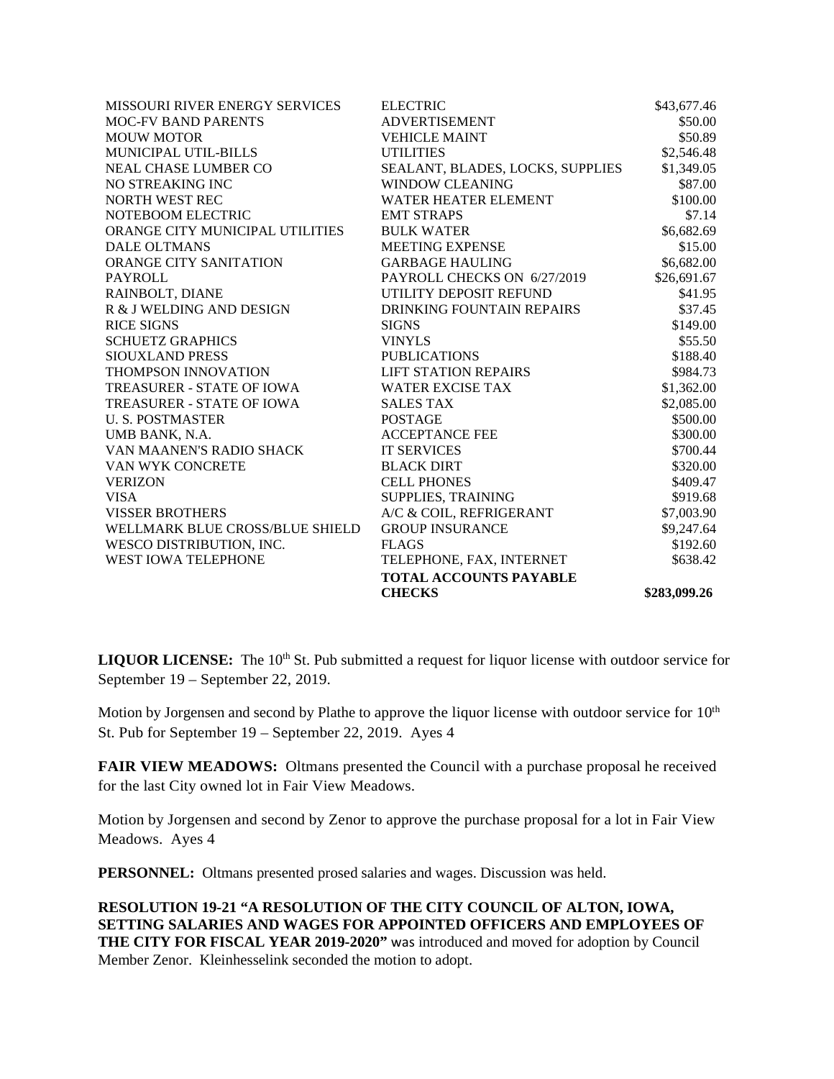| <b>ELECTRIC</b>                  | \$43,677.46  |
|----------------------------------|--------------|
| <b>ADVERTISEMENT</b>             | \$50.00      |
| <b>VEHICLE MAINT</b>             | \$50.89      |
| <b>UTILITIES</b>                 | \$2,546.48   |
| SEALANT, BLADES, LOCKS, SUPPLIES | \$1,349.05   |
| <b>WINDOW CLEANING</b>           | \$87.00      |
| WATER HEATER ELEMENT             | \$100.00     |
| <b>EMT STRAPS</b>                | \$7.14       |
| <b>BULK WATER</b>                | \$6,682.69   |
| <b>MEETING EXPENSE</b>           | \$15.00      |
| <b>GARBAGE HAULING</b>           | \$6,682.00   |
| PAYROLL CHECKS ON 6/27/2019      | \$26,691.67  |
| UTILITY DEPOSIT REFUND           | \$41.95      |
| DRINKING FOUNTAIN REPAIRS        | \$37.45      |
| <b>SIGNS</b>                     | \$149.00     |
| <b>VINYLS</b>                    | \$55.50      |
| <b>PUBLICATIONS</b>              | \$188.40     |
| <b>LIFT STATION REPAIRS</b>      | \$984.73     |
| <b>WATER EXCISE TAX</b>          | \$1,362.00   |
| <b>SALES TAX</b>                 | \$2,085.00   |
| <b>POSTAGE</b>                   | \$500.00     |
| <b>ACCEPTANCE FEE</b>            | \$300.00     |
| <b>IT SERVICES</b>               | \$700.44     |
| <b>BLACK DIRT</b>                | \$320.00     |
| <b>CELL PHONES</b>               | \$409.47     |
| SUPPLIES, TRAINING               | \$919.68     |
| A/C & COIL, REFRIGERANT          | \$7,003.90   |
| <b>GROUP INSURANCE</b>           | \$9,247.64   |
| <b>FLAGS</b>                     | \$192.60     |
| TELEPHONE, FAX, INTERNET         | \$638.42     |
| <b>TOTAL ACCOUNTS PAYABLE</b>    |              |
| <b>CHECKS</b>                    | \$283,099.26 |
|                                  |              |

LIQUOR LICENSE: The 10<sup>th</sup> St. Pub submitted a request for liquor license with outdoor service for September 19 – September 22, 2019.

Motion by Jorgensen and second by Plathe to approve the liquor license with outdoor service for 10<sup>th</sup> St. Pub for September 19 – September 22, 2019. Ayes 4

**FAIR VIEW MEADOWS:** Oltmans presented the Council with a purchase proposal he received for the last City owned lot in Fair View Meadows.

Motion by Jorgensen and second by Zenor to approve the purchase proposal for a lot in Fair View Meadows. Ayes 4

**PERSONNEL:** Oltmans presented prosed salaries and wages. Discussion was held.

**RESOLUTION 19-21 "A RESOLUTION OF THE CITY COUNCIL OF ALTON, IOWA, SETTING SALARIES AND WAGES FOR APPOINTED OFFICERS AND EMPLOYEES OF**  THE CITY FOR FISCAL YEAR 2019-2020" was introduced and moved for adoption by Council Member Zenor. Kleinhesselink seconded the motion to adopt.